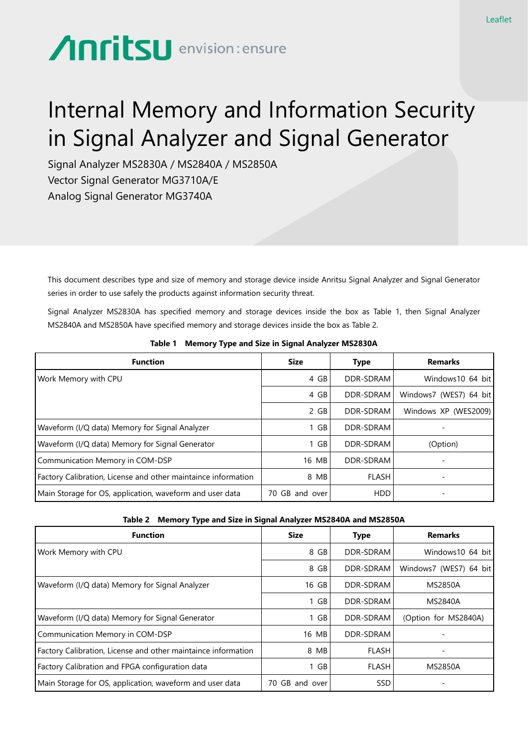## **Anritsu** envision: ensure

## Internal Memory and Information Security in Signal Analyzer and Signal Generator

Signal Analyzer MS2830A / MS2840A / MS2850A Vector Signal Generator MG3710A/E Analog Signal Generator MG3740A

This document describes type and size of memory and storage device inside Anritsu Signal Analyzer and Signal Generator series in order to use safely the products against information security threat.

Signal Analyzer MS2830A has specified memory and storage devices inside the box as Table 1, then Signal Analyzer MS2840A and MS2850A have specified memory and storage devices inside the box as Table 2.

| <b>Function</b>                                               | <b>Size</b>    | <b>Type</b>  | <b>Remarks</b>           |
|---------------------------------------------------------------|----------------|--------------|--------------------------|
| Work Memory with CPU                                          | 4 GB           | DDR-SDRAM    | Windows 10 64 bit        |
|                                                               | 4 GB           | DDR-SDRAM    | Windows7 (WES7) 64 bit   |
|                                                               | 2 GB           | DDR-SDRAM    | Windows XP (WES2009)     |
| Waveform (I/Q data) Memory for Signal Analyzer                | 1 GB           | DDR-SDRAM    |                          |
| Waveform (I/Q data) Memory for Signal Generator               | $1$ GB         | DDR-SDRAM    | (Option)                 |
| Communication Memory in COM-DSP                               | 16 MB          | DDR-SDRAM    |                          |
| Factory Calibration, License and other maintaince information | 8 MB           | <b>FLASH</b> | $\overline{\phantom{a}}$ |
| Main Storage for OS, application, waveform and user data      | 70 GB and over | <b>HDD</b>   |                          |

**Table 1 Memory Type and Size in Signal Analyzer MS2830A**

## **Table 2 Memory Type and Size in Signal Analyzer MS2840A and MS2850A**

| <b>Function</b>                                               | <b>Size</b>    | <b>Type</b>  | <b>Remarks</b>         |
|---------------------------------------------------------------|----------------|--------------|------------------------|
| Work Memory with CPU                                          | 8 GB           | DDR-SDRAM    | Windows 10 64 bit      |
|                                                               | 8 GB           | DDR-SDRAM    | Windows7 (WES7) 64 bit |
| Waveform (I/Q data) Memory for Signal Analyzer                | 16 GB          | DDR-SDRAM    | <b>MS2850A</b>         |
|                                                               | 1 GB           | DDR-SDRAM    | <b>MS2840A</b>         |
| Waveform (I/Q data) Memory for Signal Generator               | 1 GB           | DDR-SDRAM    | (Option for MS2840A)   |
| Communication Memory in COM-DSP                               | 16 MB          | DDR-SDRAM    |                        |
| Factory Calibration, License and other maintaince information | 8 MB           | <b>FLASH</b> | -                      |
| Factory Calibration and FPGA configuration data               | 1 GB           | <b>FLASH</b> | <b>MS2850A</b>         |
| Main Storage for OS, application, waveform and user data      | 70 GB and over | <b>SSD</b>   |                        |